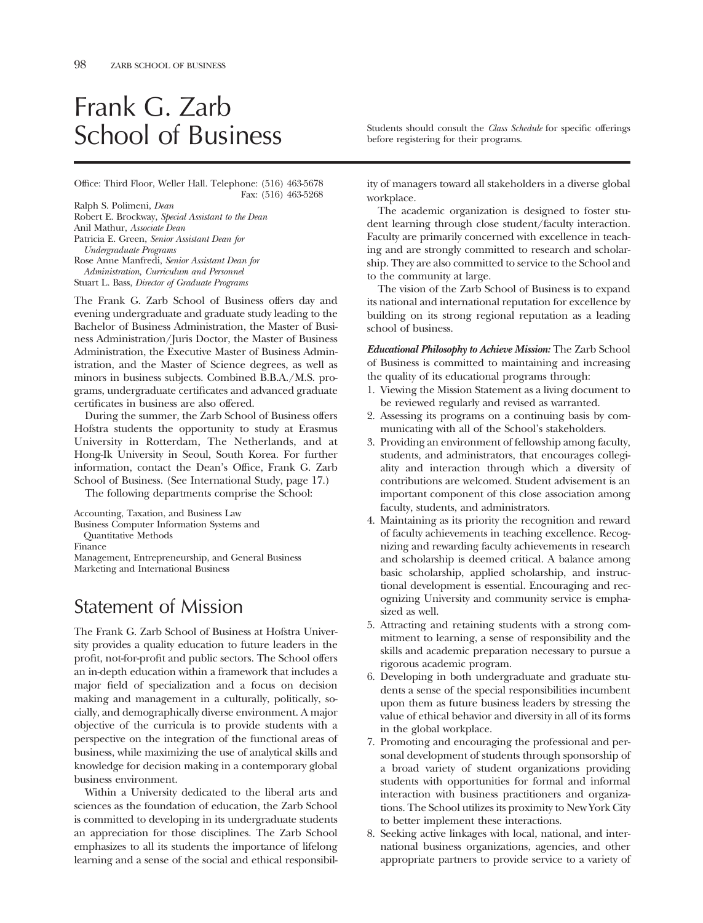# Frank G. Zarb

Office: Third Floor, Weller Hall. Telephone: (516) 463-5678 Fax: (516) 463-5268

Ralph S. Polimeni, *Dean*  Robert E. Brockway, *Special Assistant to the Dean*  Anil Mathur, *Associate Dean*  Patricia E. Green, *Senior Assistant Dean for Undergraduate Programs*  Rose Anne Manfredi, *Senior Assistant Dean for Administration, Curriculum and Personnel* 

Stuart L. Bass, *Director of Graduate Programs* 

The Frank G. Zarb School of Business offers day and evening undergraduate and graduate study leading to the Bachelor of Business Administration, the Master of Business Administration/Juris Doctor, the Master of Business Administration, the Executive Master of Business Administration, and the Master of Science degrees, as well as minors in business subjects. Combined B.B.A./M.S. programs, undergraduate certifcates and advanced graduate certifcates in business are also offered.

During the summer, the Zarb School of Business offers Hofstra students the opportunity to study at Erasmus University in Rotterdam, The Netherlands, and at Hong-Ik University in Seoul, South Korea. For further information, contact the Dean's Office, Frank G. Zarb School of Business. (See International Study, page 17.)

The following departments comprise the School:

Accounting, Taxation, and Business Law

Business Computer Information Systems and

Quantitative Methods

Finance

Management, Entrepreneurship, and General Business Marketing and International Business

# Statement of Mission

The Frank G. Zarb School of Business at Hofstra University provides a quality education to future leaders in the proft, not-for-proft and public sectors. The School offers an in-depth education within a framework that includes a major feld of specialization and a focus on decision making and management in a culturally, politically, socially, and demographically diverse environment. A major objective of the curricula is to provide students with a perspective on the integration of the functional areas of business, while maximizing the use of analytical skills and knowledge for decision making in a contemporary global business environment.

Within a University dedicated to the liberal arts and sciences as the foundation of education, the Zarb School is committed to developing in its undergraduate students an appreciation for those disciplines. The Zarb School emphasizes to all its students the importance of lifelong learning and a sense of the social and ethical responsibil-

School of Business Students should consult the *Class Schedule* for specific offerings before registering for their programs.

ity of managers toward all stakeholders in a diverse global workplace.

The academic organization is designed to foster student learning through close student/faculty interaction. Faculty are primarily concerned with excellence in teaching and are strongly committed to research and scholarship. They are also committed to service to the School and to the community at large.

The vision of the Zarb School of Business is to expand its national and international reputation for excellence by building on its strong regional reputation as a leading school of business.

*Educational Philosophy to Achieve Mission:* The Zarb School of Business is committed to maintaining and increasing the quality of its educational programs through:

- 1. Viewing the Mission Statement as a living document to be reviewed regularly and revised as warranted.
- 2. Assessing its programs on a continuing basis by communicating with all of the School's stakeholders.
- 3. Providing an environment of fellowship among faculty, students, and administrators, that encourages collegiality and interaction through which a diversity of contributions are welcomed. Student advisement is an important component of this close association among faculty, students, and administrators.
- 4. Maintaining as its priority the recognition and reward of faculty achievements in teaching excellence. Recognizing and rewarding faculty achievements in research and scholarship is deemed critical. A balance among basic scholarship, applied scholarship, and instructional development is essential. Encouraging and recognizing University and community service is emphasized as well.
- 5. Attracting and retaining students with a strong commitment to learning, a sense of responsibility and the skills and academic preparation necessary to pursue a rigorous academic program.
- 6. Developing in both undergraduate and graduate students a sense of the special responsibilities incumbent upon them as future business leaders by stressing the value of ethical behavior and diversity in all of its forms in the global workplace.
- 7. Promoting and encouraging the professional and personal development of students through sponsorship of a broad variety of student organizations providing students with opportunities for formal and informal interaction with business practitioners and organizations. The School utilizes its proximity to New York City to better implement these interactions.
- 8. Seeking active linkages with local, national, and international business organizations, agencies, and other appropriate partners to provide service to a variety of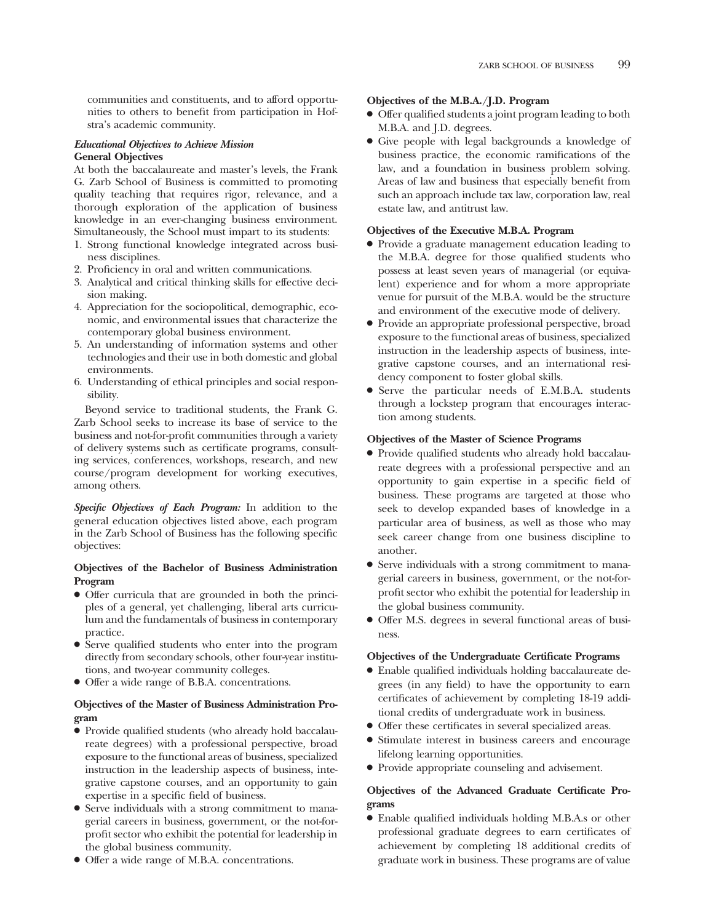communities and constituents, and to afford opportunities to others to beneft from participation in Hofstra's academic community.

#### *Educational Objectives to Achieve Mission*  **General Objectives**

At both the baccalaureate and master's levels, the Frank G. Zarb School of Business is committed to promoting quality teaching that requires rigor, relevance, and a thorough exploration of the application of business knowledge in an ever-changing business environment. Simultaneously, the School must impart to its students:

- 1. Strong functional knowledge integrated across business disciplines.
- 2. Profciency in oral and written communications.
- 3. Analytical and critical thinking skills for effective decision making.
- 4. Appreciation for the sociopolitical, demographic, economic, and environmental issues that characterize the contemporary global business environment.
- 5. An understanding of information systems and other technologies and their use in both domestic and global environments.
- 6. Understanding of ethical principles and social responsibility.

Beyond service to traditional students, the Frank G. Zarb School seeks to increase its base of service to the business and not-for-proft communities through a variety of delivery systems such as certifcate programs, consulting services, conferences, workshops, research, and new course/program development for working executives, among others.

*Specific Objectives of Each Program:* In addition to the general education objectives listed above, each program in the Zarb School of Business has the following specifc objectives:

# **Objectives of the Bachelor of Business Administration Program**

- Offer curricula that are grounded in both the principles of a general, yet challenging, liberal arts curriculum and the fundamentals of business in contemporary practice.
- Serve qualifed students who enter into the program directly from secondary schools, other four-year institutions, and two-year community colleges.
- Offer a wide range of B.B.A. concentrations.

# **Objectives of the Master of Business Administration Program**

- Provide qualifed students (who already hold baccalaureate degrees) with a professional perspective, broad exposure to the functional areas of business, specialized instruction in the leadership aspects of business, integrative capstone courses, and an opportunity to gain expertise in a specifc feld of business.
- Serve individuals with a strong commitment to managerial careers in business, government, or the not-forproft sector who exhibit the potential for leadership in the global business community.
- Offer a wide range of M.B.A. concentrations.

### **Objectives of the M.B.A./J.D. Program**

- Offer qualifed students a joint program leading to both M.B.A. and J.D. degrees.
- Give people with legal backgrounds a knowledge of business practice, the economic ramifcations of the law, and a foundation in business problem solving. Areas of law and business that especially beneft from such an approach include tax law, corporation law, real estate law, and antitrust law.

# **Objectives of the Executive M.B.A. Program**

- Provide a graduate management education leading to the M.B.A. degree for those qualifed students who possess at least seven years of managerial (or equivalent) experience and for whom a more appropriate venue for pursuit of the M.B.A. would be the structure and environment of the executive mode of delivery.
- Provide an appropriate professional perspective, broad exposure to the functional areas of business, specialized instruction in the leadership aspects of business, integrative capstone courses, and an international residency component to foster global skills.
- Serve the particular needs of E.M.B.A. students through a lockstep program that encourages interaction among students.

### **Objectives of the Master of Science Programs**

- Provide qualifed students who already hold baccalaureate degrees with a professional perspective and an opportunity to gain expertise in a specifc feld of business. These programs are targeted at those who seek to develop expanded bases of knowledge in a particular area of business, as well as those who may seek career change from one business discipline to another.
- Serve individuals with a strong commitment to managerial careers in business, government, or the not-forproft sector who exhibit the potential for leadership in the global business community.
- Offer M.S. degrees in several functional areas of business.

### **Objectives of the Undergraduate Certificate Programs**

- Enable qualifed individuals holding baccalaureate degrees (in any feld) to have the opportunity to earn certifcates of achievement by completing 18-19 additional credits of undergraduate work in business.
- Offer these certifcates in several specialized areas.
- Stimulate interest in business careers and encourage lifelong learning opportunities.
- Provide appropriate counseling and advisement.

# **Objectives of the Advanced Graduate Certificate Programs**

● Enable qualifed individuals holding M.B.A.s or other professional graduate degrees to earn certifcates of achievement by completing 18 additional credits of graduate work in business. These programs are of value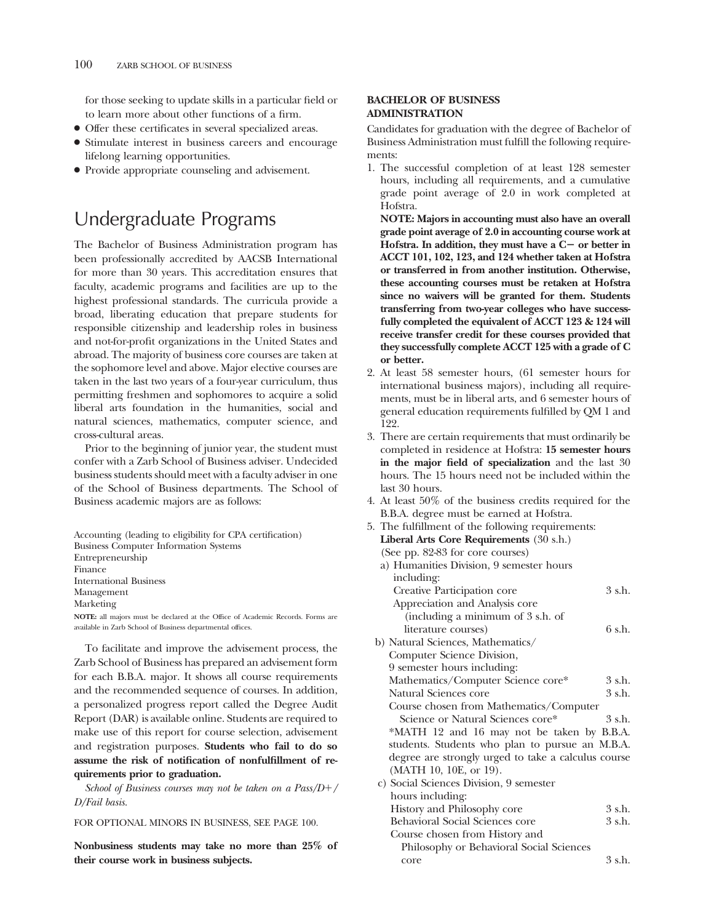for those seeking to update skills in a particular feld or to learn more about other functions of a frm.

- Offer these certifcates in several specialized areas.
- Stimulate interest in business careers and encourage lifelong learning opportunities.
- Provide appropriate counseling and advisement.

# Undergraduate Programs

The Bachelor of Business Administration program has been professionally accredited by AACSB International for more than 30 years. This accreditation ensures that faculty, academic programs and facilities are up to the highest professional standards. The curricula provide a broad, liberating education that prepare students for responsible citizenship and leadership roles in business and not-for-proft organizations in the United States and abroad. The majority of business core courses are taken at the sophomore level and above. Major elective courses are taken in the last two years of a four-year curriculum, thus permitting freshmen and sophomores to acquire a solid liberal arts foundation in the humanities, social and natural sciences, mathematics, computer science, and cross-cultural areas.

Prior to the beginning of junior year, the student must confer with a Zarb School of Business adviser. Undecided business students should meet with a faculty adviser in one of the School of Business departments. The School of Business academic majors are as follows:

Accounting (leading to eligibility for CPA certifcation) Business Computer Information Systems Entrepreneurship Finance International Business Management Marketing NOTE: all majors must be declared at the Office of Academic Records. Forms are available in Zarb School of Business departmental offices.

To facilitate and improve the advisement process, the Zarb School of Business has prepared an advisement form for each B.B.A. major. It shows all course requirements and the recommended sequence of courses. In addition, a personalized progress report called the Degree Audit Report (DAR) is available online. Students are required to make use of this report for course selection, advisement and registration purposes. **Students who fail to do so assume the risk of notification of nonfulfillment of requirements prior to graduation.** 

*School of Business courses may not be taken on a Pass/D/ D/Fail basis.* 

FOR OPTIONAL MINORS IN BUSINESS, SEE PAGE 100.

**Nonbusiness students may take no more than 25% of their course work in business subjects.** 

#### **BACHELOR OF BUSINESS ADMINISTRATION**

Candidates for graduation with the degree of Bachelor of Business Administration must fulfll the following requirements:

1. The successful completion of at least 128 semester hours, including all requirements, and a cumulative grade point average of 2.0 in work completed at Hofstra.

**NOTE: Majors in accounting must also have an overall grade point average of 2.0 in accounting course work at**  Hofstra. In addition, they must have a C- or better in **ACCT 101, 102, 123, and 124 whether taken at Hofstra or transferred in from another institution. Otherwise, these accounting courses must be retaken at Hofstra since no waivers will be granted for them. Students transferring from two-year colleges who have successfully completed the equivalent of ACCT 123 & 124 will receive transfer credit for these courses provided that they successfully complete ACCT 125 with a grade of C or better.** 

- 2. At least 58 semester hours, (61 semester hours for international business majors), including all requirements, must be in liberal arts, and 6 semester hours of general education requirements fulflled by QM 1 and 122.
- 3. There are certain requirements that must ordinarily be completed in residence at Hofstra: **15 semester hours in the major field of specialization** and the last 30 hours. The 15 hours need not be included within the last 30 hours.
- 4. At least 50% of the business credits required for the B.B.A. degree must be earned at Hofstra.

| 5. The fulfillment of the following requirements:   |             |  |  |
|-----------------------------------------------------|-------------|--|--|
| Liberal Arts Core Requirements (30 s.h.)            |             |  |  |
| (See pp. 82-83 for core courses)                    |             |  |  |
| a) Humanities Division, 9 semester hours            |             |  |  |
| including:                                          |             |  |  |
| Creative Participation core                         | 3 s.h.      |  |  |
| Appreciation and Analysis core                      |             |  |  |
| (including a minimum of 3 s.h. of                   |             |  |  |
| literature courses)                                 | 6 s.h.      |  |  |
| b) Natural Sciences, Mathematics/                   |             |  |  |
| Computer Science Division,                          |             |  |  |
| 9 semester hours including:                         |             |  |  |
| Mathematics/Computer Science core*                  | $3$ s.h.    |  |  |
| Natural Sciences core                               | 3 s.h.      |  |  |
| Course chosen from Mathematics/Computer             |             |  |  |
| Science or Natural Sciences core*                   | 3 s.h.      |  |  |
| *MATH 12 and 16 may not be taken by B.B.A.          |             |  |  |
| students. Students who plan to pursue an M.B.A.     |             |  |  |
| degree are strongly urged to take a calculus course |             |  |  |
| (MATH 10, 10E, or 19).                              |             |  |  |
| c) Social Sciences Division, 9 semester             |             |  |  |
| hours including:                                    |             |  |  |
| History and Philosophy core                         | $3 \,$ s.h. |  |  |
| Behavioral Social Sciences core                     | 3 s.h.      |  |  |
| Course chosen from History and                      |             |  |  |
| Philosophy or Behavioral Social Sciences            |             |  |  |
| core                                                | 3 s.h.      |  |  |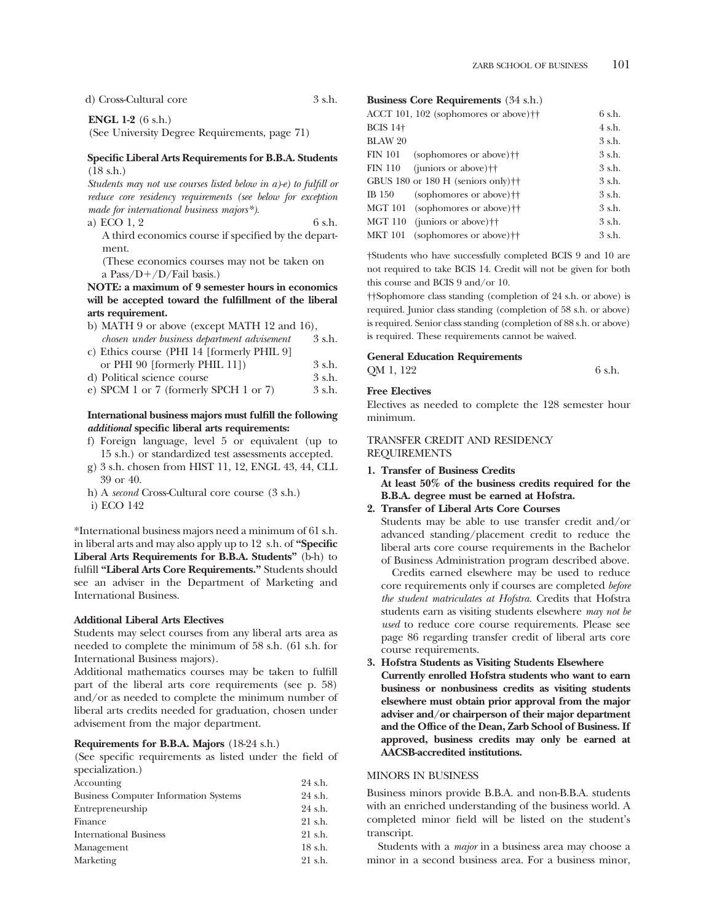d) Cross-Cultural core 3 s.h.

**ENGL 1-2** (6 s.h.)

(See University Degree Requirements, page 71)

#### **Specific Liberal Arts Requirements for B.B.A. Students**  (18 s.h.)

*Students may not use courses listed below in a)-e) to fulfill or reduce core residency requirements (see below for exception made for international business majors\*).* 

a) ECO  $1, 2$  6 s.h. A third economics course if specifed by the department.

(These economics courses may not be taken on a Pass/ $D+$ /D/Fail basis.)

# **NOTE: a maximum of 9 semester hours in economics will be accepted toward the fulfillment of the liberal arts requirement.**

| b) MATH 9 or above (except MATH 12 and 16), |        |
|---------------------------------------------|--------|
| chosen under business department advisement | 3 s.h. |
| c) Ethics course (PHI 14 [formerly PHIL 9]  |        |
| or PHI 90 [formerly PHIL 11])               | 3 s.h. |
| d) Political science course                 | 3 s.h. |
| e) SPCM 1 or 7 (formerly SPCH 1 or 7)       | 3 s.h. |
|                                             |        |

### **International business majors must fulfill the following**  *additional* **specific liberal arts requirements:**

- f) Foreign language, level 5 or equivalent (up to 15 s.h.) or standardized test assessments accepted.
- g) 3 s.h. chosen from HIST 11, 12, ENGL 43, 44, CLL 39 or 40.
- h) A *second* Cross-Cultural core course (3 s.h.) i) ECO 142

\*International business majors need a minimum of 61 s.h. in liberal arts and may also apply up to 12 s.h. of **"Specific Liberal Arts Requirements for B.B.A. Students"** (b-h) to fulfll **"Liberal Arts Core Requirements."** Students should see an adviser in the Department of Marketing and International Business.

#### **Additional Liberal Arts Electives**

Students may select courses from any liberal arts area as needed to complete the minimum of 58 s.h. (61 s.h. for International Business majors).

Additional mathematics courses may be taken to fulfll part of the liberal arts core requirements (see p. 58) and/or as needed to complete the minimum number of liberal arts credits needed for graduation, chosen under advisement from the major department.

#### **Requirements for B.B.A. Majors** (18-24 s.h.)

(See specifc requirements as listed under the feld of specialization.)

| Accounting                                   | 24 s.h. |
|----------------------------------------------|---------|
| <b>Business Computer Information Systems</b> | 24 s.h. |
| Entrepreneurship                             | 24 s.h. |
| Finance                                      | 21 s.h. |
| <b>International Business</b>                | 21 s.h. |
| Management                                   | 18 s.h. |
| Marketing                                    | 21 s.h. |
|                                              |         |

# **Business Core Requirements** (34 s.h.)

|                 | ACCT 101, 102 (sophomores or above) <sup>++</sup> | 6 s.h.      |
|-----------------|---------------------------------------------------|-------------|
| <b>BCIS 14+</b> |                                                   | 4 s.h.      |
| <b>BLAW 20</b>  |                                                   | 3 s.h.      |
| <b>FIN 101</b>  | (sophomores or above) <sup>††</sup>               | 3 s.h.      |
| <b>FIN 110</b>  | (juniors or above) <sup>++</sup>                  | $3 \,$ s.h. |
|                 | GBUS 180 or 180 H (seniors only) $\dagger\dagger$ | 3 s.h.      |
| <b>IB</b> 150   | (sophomores or above) <sup>††</sup>               | $3 \,$ s.h. |
|                 | MGT 101 (sophomores or above) <sup>††</sup>       | $3 \,$ s.h. |
| MGT 110         | (juniors or above) <sup>††</sup>                  | $3 \,$ s.h. |
| <b>MKT 101</b>  | (sophomores or above) <sup>††</sup>               | 3 s.h.      |

†Students who have successfully completed BCIS 9 and 10 are not required to take BCIS 14. Credit will not be given for both this course and BCIS 9 and/or 10.

††Sophomore class standing (completion of 24 s.h. or above) is required. Junior class standing (completion of 58 s.h. or above) is required. Senior class standing (completion of 88 s.h. or above) is required. These requirements cannot be waived.

#### **General Education Requirements**

 $QM$  1, 122 6 s.h.

#### **Free Electives**

Electives as needed to complete the 128 semester hour minimum.

#### TRANSFER CREDIT AND RESIDENCY REQUIREMENTS

## **1. Transfer of Business Credits At least 50% of the business credits required for the B.B.A. degree must be earned at Hofstra.**

#### **2. Transfer of Liberal Arts Core Courses**

Students may be able to use transfer credit and/or advanced standing/placement credit to reduce the liberal arts core course requirements in the Bachelor of Business Administration program described above.

Credits earned elsewhere may be used to reduce core requirements only if courses are completed *before the student matriculates at Hofstra.* Credits that Hofstra students earn as visiting students elsewhere *may not be used* to reduce core course requirements. Please see page 86 regarding transfer credit of liberal arts core course requirements.

## **3. Hofstra Students as Visiting Students Elsewhere Currently enrolled Hofstra students who want to earn business or nonbusiness credits as visiting students elsewhere must obtain prior approval from the major adviser and/or chairperson of their major department and the Office of the Dean, Zarb School of Business. If approved, business credits may only be earned at AACSB-accredited institutions.**

#### MINORS IN BUSINESS

Business minors provide B.B.A. and non-B.B.A. students with an enriched understanding of the business world. A completed minor feld will be listed on the student's transcript.

Students with a *major* in a business area may choose a minor in a second business area. For a business minor,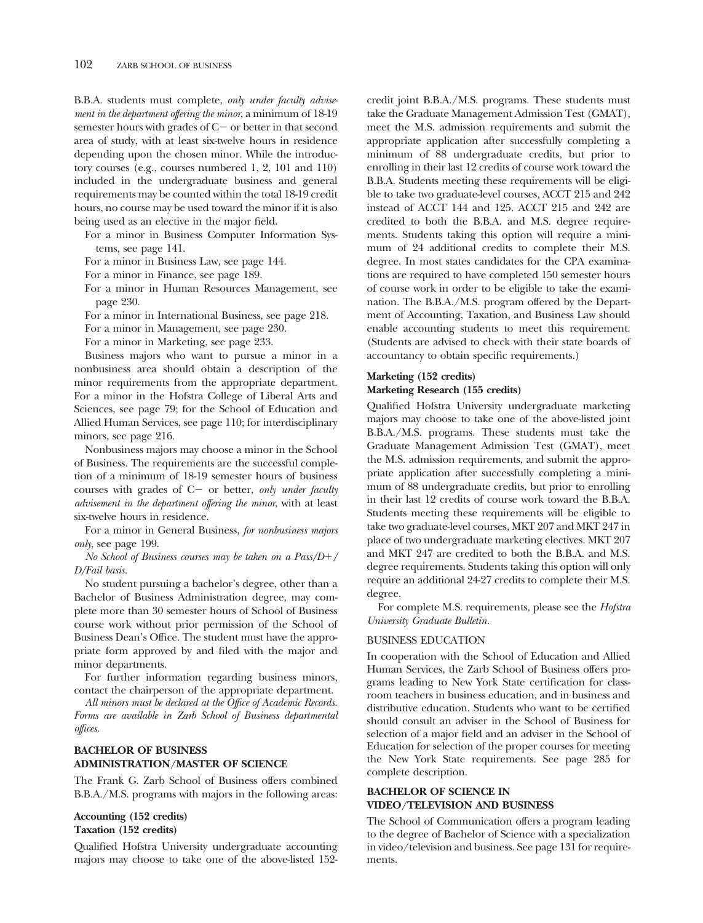B.B.A. students must complete, *only under faculty advisement in the department offering the minor*, a minimum of 18-19 semester hours with grades of  $C$  - or better in that second area of study, with at least six-twelve hours in residence depending upon the chosen minor. While the introductory courses (e.g., courses numbered 1, 2, 101 and 110) included in the undergraduate business and general requirements may be counted within the total 18-19 credit hours, no course may be used toward the minor if it is also being used as an elective in the major feld.

For a minor in Business Computer Information Systems, see page 141.

For a minor in Business Law, see page 144.

For a minor in Finance, see page 189.

For a minor in Human Resources Management, see page 230.

For a minor in International Business, see page 218.

For a minor in Management, see page 230.

For a minor in Marketing, see page 233.

Business majors who want to pursue a minor in a nonbusiness area should obtain a description of the minor requirements from the appropriate department. For a minor in the Hofstra College of Liberal Arts and Sciences, see page 79; for the School of Education and Allied Human Services, see page 110; for interdisciplinary minors, see page 216.

Nonbusiness majors may choose a minor in the School of Business. The requirements are the successful completion of a minimum of 18-19 semester hours of business courses with grades of C- or better, *only under faculty advisement in the department offering the minor*, with at least six-twelve hours in residence.

For a minor in General Business, *for nonbusiness majors only*, see page 199.

#### *No School of Business courses may be taken on a Pass/D/ D/Fail basis.*

No student pursuing a bachelor's degree, other than a Bachelor of Business Administration degree, may complete more than 30 semester hours of School of Business course work without prior permission of the School of Business Dean's Office. The student must have the appropriate form approved by and fled with the major and minor departments.

For further information regarding business minors, contact the chairperson of the appropriate department.

*All minors must be declared at the Office of Academic Records. Forms are available in Zarb School of Business departmental offices.* 

# **BACHELOR OF BUSINESS ADMINISTRATION/MASTER OF SCIENCE**

The Frank G. Zarb School of Business offers combined B.B.A./M.S. programs with majors in the following areas:

#### **Accounting (152 credits) Taxation (152 credits)**

Qualifed Hofstra University undergraduate accounting majors may choose to take one of the above-listed 152credit joint B.B.A./M.S. programs. These students must take the Graduate Management Admission Test (GMAT), meet the M.S. admission requirements and submit the appropriate application after successfully completing a minimum of 88 undergraduate credits, but prior to enrolling in their last 12 credits of course work toward the B.B.A. Students meeting these requirements will be eligible to take two graduate-level courses, ACCT 215 and 242 instead of ACCT 144 and 125. ACCT 215 and 242 are credited to both the B.B.A. and M.S. degree requirements. Students taking this option will require a minimum of 24 additional credits to complete their M.S. degree. In most states candidates for the CPA examinations are required to have completed 150 semester hours of course work in order to be eligible to take the examination. The B.B.A./M.S. program offered by the Department of Accounting, Taxation, and Business Law should enable accounting students to meet this requirement. (Students are advised to check with their state boards of accountancy to obtain specifc requirements.)

#### **Marketing (152 credits)**

#### **Marketing Research (155 credits)**

Qualifed Hofstra University undergraduate marketing majors may choose to take one of the above-listed joint B.B.A./M.S. programs. These students must take the Graduate Management Admission Test (GMAT), meet the M.S. admission requirements, and submit the appropriate application after successfully completing a minimum of 88 undergraduate credits, but prior to enrolling in their last 12 credits of course work toward the B.B.A. Students meeting these requirements will be eligible to take two graduate-level courses, MKT 207 and MKT 247 in place of two undergraduate marketing electives. MKT 207 and MKT 247 are credited to both the B.B.A. and M.S. degree requirements. Students taking this option will only require an additional 24-27 credits to complete their M.S. degree.

For complete M.S. requirements, please see the *Hofstra University Graduate Bulletin.* 

#### BUSINESS EDUCATION

In cooperation with the School of Education and Allied Human Services, the Zarb School of Business offers programs leading to New York State certifcation for classroom teachers in business education, and in business and distributive education. Students who want to be certifed should consult an adviser in the School of Business for selection of a major feld and an adviser in the School of Education for selection of the proper courses for meeting the New York State requirements. See page 285 for complete description.

# **BACHELOR OF SCIENCE IN VIDEO/TELEVISION AND BUSINESS**

The School of Communication offers a program leading to the degree of Bachelor of Science with a specialization in video/television and business. See page 131 for requirements.